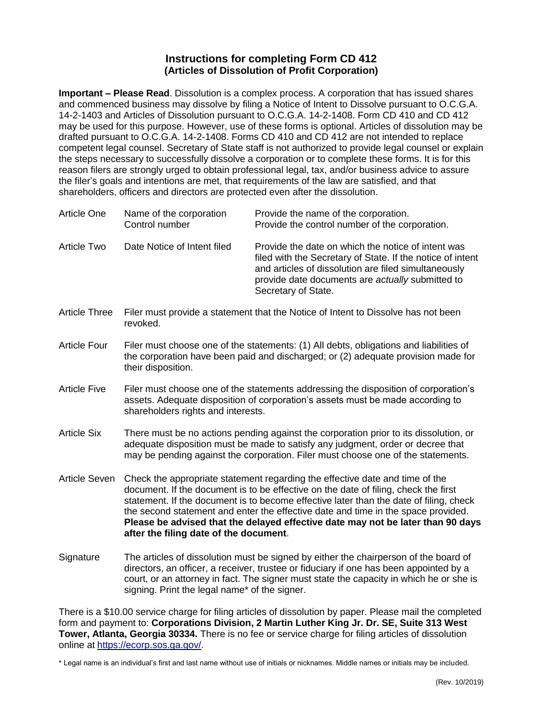## **Instructions for completing Form CD 412 (Articles of Dissolution of Profit Corporation)**

**Important – Please Read**. Dissolution is a complex process. A corporation that has issued shares and commenced business may dissolve by filing a Notice of Intent to Dissolve pursuant to O.C.G.A. [14-2-1403](http://www.sos.state.ga.us/cgi-bin/external.asp?link=www.legis.state.ga.us/cgi-bin/gl_codes_detail.pl?code=14-2-1403) and Articles of Dissolution pursuant to O.C.G.A. [14-2-1408.](http://www.sos.state.ga.us/cgi-bin/external.asp?link=www.legis.state.ga.us/cgi-bin/gl_codes_detail.pl?code=14-2-1408) Form CD 410 and CD 412 may be used for this purpose. However, use of these forms is optional. Articles of dissolution may be drafted pursuant to O.C.G.A. 14-2-1408. Forms CD 410 and CD 412 are not intended to replace competent legal counsel. Secretary of State staff is not authorized to provide legal counsel or explain the steps necessary to successfully dissolve a corporation or to complete these forms. It is for this reason filers are strongly urged to obtain professional legal, tax, and/or business advice to assure the filer's goals and intentions are met, that requirements of the law are satisfied, and that shareholders, officers and directors are protected even after the dissolution.

| Article One          | Name of the corporation<br>Control number                                                                                                                                                                                                                                                                                                                                                                                                                                       | Provide the name of the corporation.<br>Provide the control number of the corporation.                                                                                                                                                              |
|----------------------|---------------------------------------------------------------------------------------------------------------------------------------------------------------------------------------------------------------------------------------------------------------------------------------------------------------------------------------------------------------------------------------------------------------------------------------------------------------------------------|-----------------------------------------------------------------------------------------------------------------------------------------------------------------------------------------------------------------------------------------------------|
| <b>Article Two</b>   | Date Notice of Intent filed                                                                                                                                                                                                                                                                                                                                                                                                                                                     | Provide the date on which the notice of intent was<br>filed with the Secretary of State. If the notice of intent<br>and articles of dissolution are filed simultaneously<br>provide date documents are actually submitted to<br>Secretary of State. |
| <b>Article Three</b> | Filer must provide a statement that the Notice of Intent to Dissolve has not been<br>revoked.                                                                                                                                                                                                                                                                                                                                                                                   |                                                                                                                                                                                                                                                     |
| <b>Article Four</b>  | Filer must choose one of the statements: (1) All debts, obligations and liabilities of<br>the corporation have been paid and discharged; or (2) adequate provision made for<br>their disposition.                                                                                                                                                                                                                                                                               |                                                                                                                                                                                                                                                     |
| <b>Article Five</b>  | Filer must choose one of the statements addressing the disposition of corporation's<br>assets. Adequate disposition of corporation's assets must be made according to<br>shareholders rights and interests.                                                                                                                                                                                                                                                                     |                                                                                                                                                                                                                                                     |
| <b>Article Six</b>   | There must be no actions pending against the corporation prior to its dissolution, or<br>adequate disposition must be made to satisfy any judgment, order or decree that<br>may be pending against the corporation. Filer must choose one of the statements.                                                                                                                                                                                                                    |                                                                                                                                                                                                                                                     |
| Article Seven        | Check the appropriate statement regarding the effective date and time of the<br>document. If the document is to be effective on the date of filing, check the first<br>statement. If the document is to become effective later than the date of filing, check<br>the second statement and enter the effective date and time in the space provided.<br>Please be advised that the delayed effective date may not be later than 90 days<br>after the filing date of the document. |                                                                                                                                                                                                                                                     |
| Signature            | The articles of dissolution must be signed by either the chairperson of the board of                                                                                                                                                                                                                                                                                                                                                                                            |                                                                                                                                                                                                                                                     |

directors, an officer, a receiver, trustee or fiduciary if one has been appointed by a court, or an attorney in fact. The signer must state the capacity in which he or she is signing. Print the legal name\* of the signer.

There is a \$10.00 service charge for filing articles of dissolution by paper. Please mail the completed form and payment to: **Corporations Division, 2 Martin Luther King Jr. Dr. SE, Suite 313 West Tower, Atlanta, Georgia 30334.** There is no fee or service charge for filing articles of dissolution online at [https://ecorp.sos.ga.gov/.](https://ecorp.sos.ga.gov/)

\* Legal name is an individual's first and last name without use of initials or nicknames. Middle names or initials may be included.